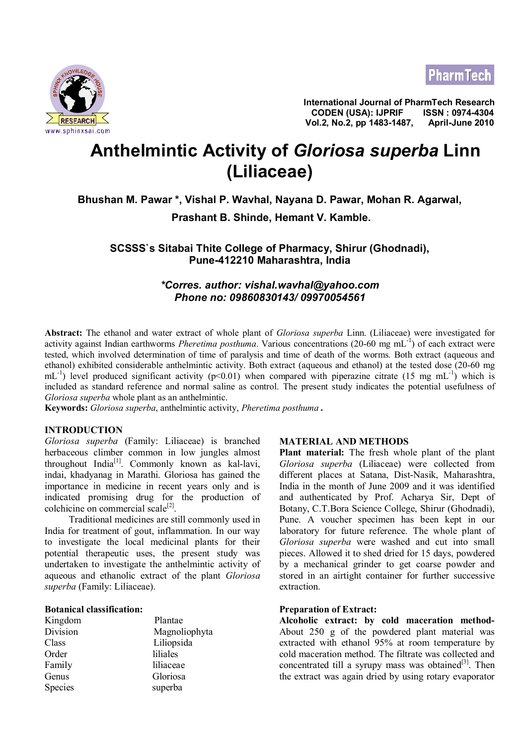



**International Journal of PharmTech Research CODEN (USA): IJPRIF ISSN : 0974-4304** <u>∠ <mark>RESEARCH</mark> Vol.2, No.2, pp 1483-1487, April-June 2010</u><br>www.sphinxsai.com

# **Anthelmintic Activity of** *Gloriosa superba* **Linn (Liliaceae)**

# **Bhushan M. Pawar \*, Vishal P. Wavhal, Nayana D. Pawar, Mohan R. Agarwal,**

 **Prashant B. Shinde, Hemant V. Kamble.**

**SCSSS`s Sitabai Thite College of Pharmacy, Shirur (Ghodnadi), Pune-412210 Maharashtra, India**

# *\*Corres. author: vishal.wavhal@yahoo.com Phone no: 09860830143/ 09970054561*

**Abstract:** The ethanol and water extract of whole plant of *Gloriosa superba* Linn. (Liliaceae) were investigated for activity against Indian earthworms *Pheretima posthuma*. Various concentrations (20-60 mg mL-1) of each extract were tested, which involved determination of time of paralysis and time of death of the worms. Both extract (aqueous and ethanol) exhibited considerable anthelmintic activity. Both extract (aqueous and ethanol) at the tested dose (20-60 mg  $mL^{-1}$ ) level produced significant activity (p<0.01) when compared with piperazine citrate (15 mg mL<sup>-1</sup>) which is included as standard reference and normal saline as control. The present study indicates the potential usefulness of *Gloriosa superba* whole plant as an anthelmintic.

**Keywords:** *Gloriosa superba*, anthelmintic activity, *Pheretima posthuma .*

## **INTRODUCTION**

*Gloriosa superba* (Family: Liliaceae) is branched herbaceous climber common in low jungles almost throughout India<sup>[1]</sup>. Commonly known as kal-lavi, indai, khadyanag in Marathi. Gloriosa has gained the importance in medicine in recent years only and is indicated promising drug for the production of colchicine on commercial scale<sup>[2]</sup>.

 Traditional medicines are still commonly used in India for treatment of gout, inflammation. In our way to investigate the local medicinal plants for their potential therapeutic uses, the present study was undertaken to investigate the anthelmintic activity of aqueous and ethanolic extract of the plant *Gloriosa superba* (Family: Liliaceae).

#### **Botanical classification:**

| Kingdom  | Plantae       |
|----------|---------------|
| Division | Magnoliophyta |
| Class    | Liliopsida    |
| Order    | liliales      |
| Family   | liliaceae     |
| Genus    | Gloriosa      |
| Species  | superba       |

#### **MATERIAL AND METHODS**

**Plant material:** The fresh whole plant of the plant *Gloriosa superba* (Liliaceae) were collected from different places at Satana, Dist-Nasik, Maharashtra, India in the month of June 2009 and it was identified and authenticated by Prof. Acharya Sir, Dept of Botany, C.T.Bora Science College, Shirur (Ghodnadi), Pune. A voucher specimen has been kept in our laboratory for future reference. The whole plant of *Gloriosa superba* were washed and cut into small pieces. Allowed it to shed dried for 15 days, powdered by a mechanical grinder to get coarse powder and stored in an airtight container for further successive extraction.

#### **Preparation of Extract:**

**Alcoholic extract: by cold maceration method-**About 250 g of the powdered plant material was extracted with ethanol 95% at room temperature by cold maceration method. The filtrate was collected and concentrated till a syrupy mass was obtained $^{[3]}$ . Then the extract was again dried by using rotary evaporator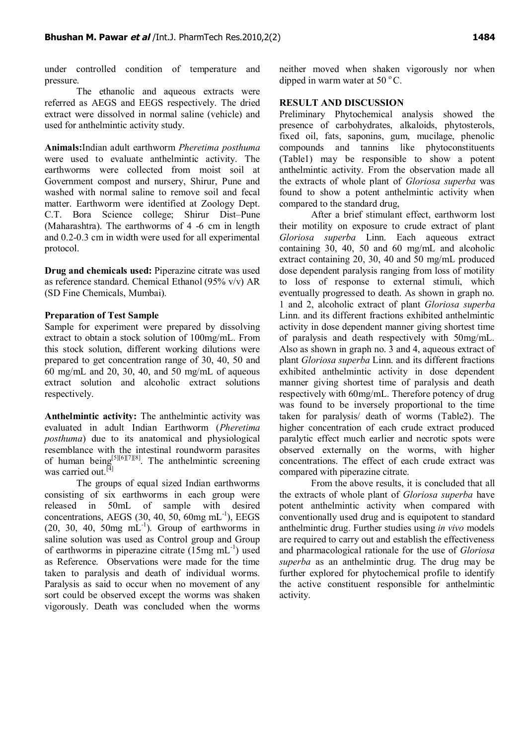under controlled condition of temperature and pressure.

The ethanolic and aqueous extracts were referred as AEGS and EEGS respectively. The dried extract were dissolved in normal saline (vehicle) and used for anthelmintic activity study.

**Animals:**Indian adult earthworm *Pheretima posthuma* were used to evaluate anthelmintic activity. The earthworms were collected from moist soil at Government compost and nursery, Shirur, Pune and washed with normal saline to remove soil and fecal matter. Earthworm were identified at Zoology Dept. C.T. Bora Science college; Shirur Dist–Pune (Maharashtra). The earthworms of 4 -6 cm in length and 0.2-0.3 cm in width were used for all experimental protocol.

**Drug and chemicals used:** Piperazine citrate was used as reference standard. Chemical Ethanol (95% v/v) AR (SD Fine Chemicals, Mumbai).

## **Preparation of Test Sample**

Sample for experiment were prepared by dissolving extract to obtain a stock solution of 100mg/mL. From this stock solution, different working dilutions were prepared to get concentration range of 30, 40, 50 and 60 mg/mL and 20, 30, 40, and 50 mg/mL of aqueous extract solution and alcoholic extract solutions respectively.

**Anthelmintic activity:** The anthelmintic activity was evaluated in adult Indian Earthworm (*Pheretima posthuma*) due to its anatomical and physiological resemblance with the intestinal roundworm parasites of human being<sup>[5][6][7][8]</sup>. The anthelmintic screening was carried out.<sup>[4]</sup>

The groups of equal sized Indian earthworms consisting of six earthworms in each group were released in 50mL of sample with desired concentrations, AEGS  $(30, 40, 50, 60$ mg mL<sup>-1</sup>), EEGS  $(20, 30, 40, 50$  mg mL<sup>-1</sup>). Group of earthworms in saline solution was used as Control group and Group of earthworms in piperazine citrate  $(15mg \text{ mL}^{-1})$  used as Reference. Observations were made for the time taken to paralysis and death of individual worms. Paralysis as said to occur when no movement of any sort could be observed except the worms was shaken vigorously. Death was concluded when the worms

neither moved when shaken vigorously nor when dipped in warm water at  $50^{\circ}$ C.

## **RESULT AND DISCUSSION**

Preliminary Phytochemical analysis showed the presence of carbohydrates, alkaloids, phytosterols, fixed oil, fats, saponins, gum, mucilage, phenolic compounds and tannins like phytoconstituents (Table1) may be responsible to show a potent anthelmintic activity. From the observation made all the extracts of whole plant of *Gloriosa superba* was found to show a potent anthelmintic activity when compared to the standard drug,

After a brief stimulant effect, earthworm lost their motility on exposure to crude extract of plant *Gloriosa superba* Linn. Each aqueous extract containing  $30, 40, 50$  and  $60$  mg/mL and alcoholic extract containing 20, 30, 40 and 50 mg/mL produced dose dependent paralysis ranging from loss of motility to loss of response to external stimuli, which eventually progressed to death. As shown in graph no. 1 and 2, alcoholic extract of plant *Gloriosa superba* Linn. and its different fractions exhibited anthelmintic activity in dose dependent manner giving shortest time of paralysis and death respectively with 50mg/mL. Also as shown in graph no. 3 and 4, aqueous extract of plant *Gloriosa superba* Linn. and its different fractions exhibited anthelmintic activity in dose dependent manner giving shortest time of paralysis and death respectively with 60mg/mL. Therefore potency of drug was found to be inversely proportional to the time taken for paralysis/ death of worms (Table2). The higher concentration of each crude extract produced paralytic effect much earlier and necrotic spots were observed externally on the worms, with higher concentrations. The effect of each crude extract was compared with piperazine citrate.

From the above results, it is concluded that all the extracts of whole plant of *Gloriosa superba* have potent anthelmintic activity when compared with conventionally used drug and is equipotent to standard anthelmintic drug. Further studies using *in vivo* models are required to carry out and establish the effectiveness and pharmacological rationale for the use of *Gloriosa superba* as an anthelmintic drug. The drug may be further explored for phytochemical profile to identify the active constituent responsible for anthelmintic activity.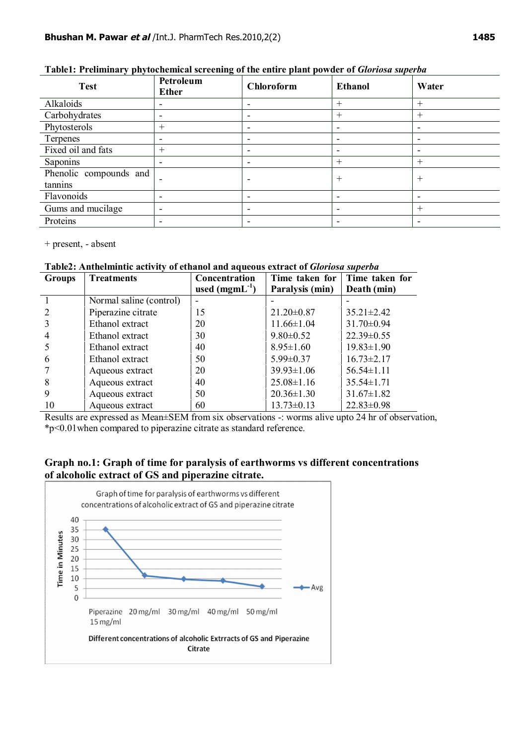| $\boldsymbol{\mathcal{J}}$ respectively.<br>− ״ |                           |                          |                          |        |  |  |
|-------------------------------------------------|---------------------------|--------------------------|--------------------------|--------|--|--|
| <b>Test</b>                                     | Petroleum<br><b>Ether</b> | <b>Chloroform</b>        | <b>Ethanol</b>           | Water  |  |  |
| Alkaloids                                       | $\overline{\phantom{0}}$  | $\overline{\phantom{a}}$ | $^{+}$                   | $^+$   |  |  |
| Carbohydrates                                   | $\overline{\phantom{0}}$  | $\overline{\phantom{0}}$ | $^{+}$                   | $^{+}$ |  |  |
| Phytosterols                                    | $^{+}$                    | -                        | $\overline{\phantom{a}}$ |        |  |  |
| Terpenes                                        | -                         | $\overline{\phantom{0}}$ | $\overline{\phantom{a}}$ |        |  |  |
| Fixed oil and fats                              | $^{+}$                    | $\overline{\phantom{0}}$ | $\overline{\phantom{a}}$ |        |  |  |
| Saponins                                        | $\overline{\phantom{a}}$  | $\overline{\phantom{a}}$ | $^{+}$                   | $^{+}$ |  |  |
| Phenolic compounds and<br>tannins               | -                         |                          | $^{+}$                   | $^{+}$ |  |  |
| Flavonoids                                      | $\overline{\phantom{0}}$  |                          | $\overline{\phantom{0}}$ |        |  |  |
| Gums and mucilage                               | $\overline{\phantom{0}}$  | -                        | $\overline{\phantom{a}}$ | $^{+}$ |  |  |
| Proteins                                        | $\overline{\phantom{0}}$  | $\overline{\phantom{a}}$ | $\overline{\phantom{0}}$ |        |  |  |

## **Table1: Preliminary phytochemical screening of the entire plant powder of** *Gloriosa superba*

+ present, - absent

## **Table2: Anthelmintic activity of ethanol and aqueous extract of** *Gloriosa superba*

| <b>Groups</b> | <b>Treatments</b>       | Concentration      | Time taken for   | Time taken for   |
|---------------|-------------------------|--------------------|------------------|------------------|
|               |                         | used $(mgmL^{-1})$ | Paralysis (min)  | Death (min)      |
|               | Normal saline (control) |                    |                  |                  |
|               | Piperazine citrate      | 15                 | $21.20 \pm 0.87$ | $35.21 \pm 2.42$ |
|               | Ethanol extract         | 20                 | $11.66 \pm 1.04$ | $31.70 \pm 0.94$ |
|               | Ethanol extract         | 30                 | $9.80 \pm 0.52$  | $22.39 \pm 0.55$ |
|               | Ethanol extract         | 40                 | $8.95 \pm 1.60$  | $19.83 \pm 1.90$ |
| 6             | Ethanol extract         | 50                 | $5.99 \pm 0.37$  | $16.73 \pm 2.17$ |
|               | Aqueous extract         | 20                 | $39.93 \pm 1.06$ | $56.54 \pm 1.11$ |
| 8             | Aqueous extract         | 40                 | $25.08 \pm 1.16$ | $35.54 \pm 1.71$ |
| 9             | Aqueous extract         | 50                 | $20.36 \pm 1.30$ | $31.67 \pm 1.82$ |
| 10            | Aqueous extract         | 60                 | $13.73 \pm 0.13$ | $22.83 \pm 0.98$ |

Results are expressed as Mean±SEM from six observations -: worms alive upto 24 hr of observation, \*p<0.01when compared to piperazine citrate as standard reference.

# **Graph no.1: Graph of time for paralysis of earthworms vs different concentrations of alcoholic extract of GS and piperazine citrate.**

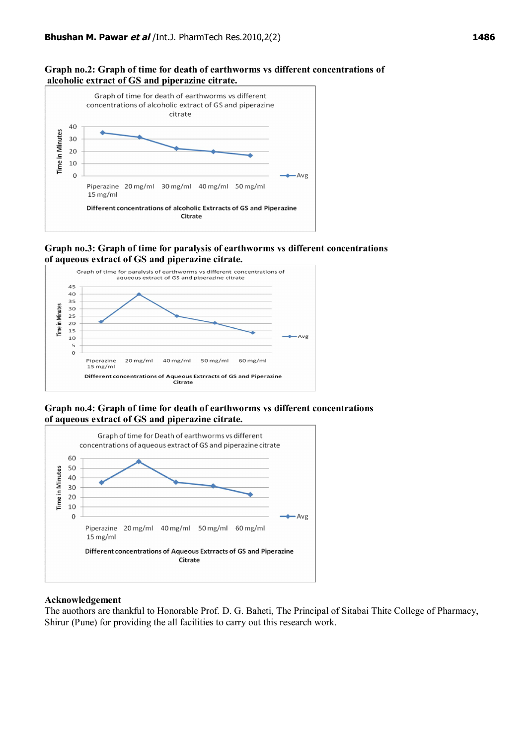#### **Graph no.2: Graph of time for death of earthworms vs different concentrations of alcoholic extract of GS and piperazine citrate.**



#### **Graph no.3: Graph of time for paralysis of earthworms vs different concentrations of aqueous extract of GS and piperazine citrate.**



## **Graph no.4: Graph of time for death of earthworms vs different concentrations of aqueous extract of GS and piperazine citrate.**



#### **Acknowledgement**

The auothors are thankful to Honorable Prof. D. G. Baheti, The Principal of Sitabai Thite College of Pharmacy, Shirur (Pune) for providing the all facilities to carry out this research work.